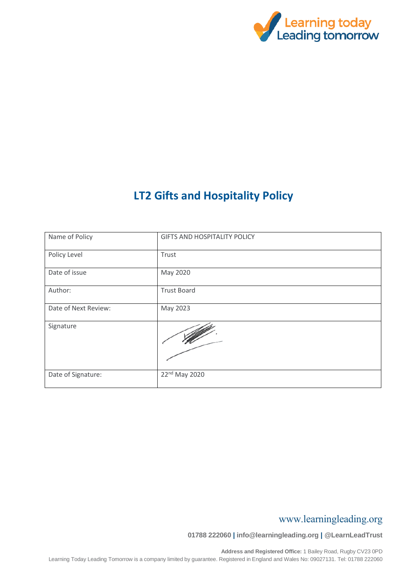

# **LT2 Gifts and Hospitality Policy**

| Name of Policy       | <b>GIFTS AND HOSPITALITY POLICY</b> |
|----------------------|-------------------------------------|
| Policy Level         | Trust                               |
| Date of issue        | May 2020                            |
| Author:              | <b>Trust Board</b>                  |
| Date of Next Review: | May 2023                            |
| Signature            |                                     |
| Date of Signature:   | 22nd May 2020                       |

### www.learningleading.org

**01788 222060 | info@learningleading.org | @LearnLeadTrust**

**Address and Registered Office:** 1 Bailey Road, Rugby CV23 0PD Learning Today Leading Tomorrow is a company limited by guarantee. Registered in England and Wales No: 09027131. Tel: 01788 222060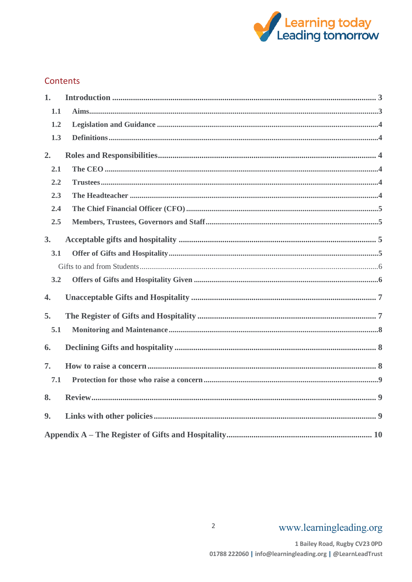

### Contents

| 1.               |  |
|------------------|--|
| 1.1              |  |
| 1.2              |  |
| 1.3              |  |
| 2.               |  |
| 2.1              |  |
| 2.2              |  |
| 2.3              |  |
| 2.4              |  |
| 2.5              |  |
| 3.               |  |
| 3.1              |  |
|                  |  |
| 3.2              |  |
| $\overline{4}$ . |  |
| 5.               |  |
| 5.1              |  |
| 6.               |  |
| 7.               |  |
| 7.1              |  |
| 8.               |  |
| 9.               |  |
|                  |  |

 $\overline{2}$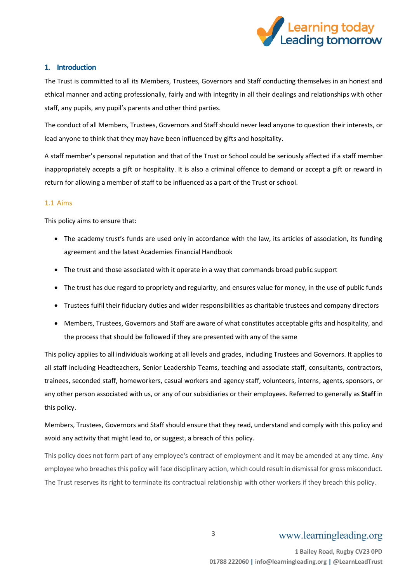

#### <span id="page-2-0"></span>**1. Introduction**

The Trust is committed to all its Members, Trustees, Governors and Staff conducting themselves in an honest and ethical manner and acting professionally, fairly and with integrity in all their dealings and relationships with other staff, any pupils, any pupil's parents and other third parties.

The conduct of all Members, Trustees, Governors and Staff should never lead anyone to question their interests, or lead anyone to think that they may have been influenced by gifts and hospitality.

A staff member's personal reputation and that of the Trust or School could be seriously affected if a staff member inappropriately accepts a gift or hospitality. It is also a criminal offence to demand or accept a gift or reward in return for allowing a member of staff to be influenced as a part of the Trust or school.

#### <span id="page-2-1"></span>1.1 Aims

This policy aims to ensure that:

- The academy trust's funds are used only in accordance with the law, its articles of association, its funding agreement and the latest Academies Financial Handbook
- The trust and those associated with it operate in a way that commands broad public support
- The trust has due regard to propriety and regularity, and ensures value for money, in the use of public funds
- Trustees fulfil their fiduciary duties and wider responsibilities as charitable trustees and company directors
- Members, Trustees, Governors and Staff are aware of what constitutes acceptable gifts and hospitality, and the process that should be followed if they are presented with any of the same

This policy applies to all individuals working at all levels and grades, including Trustees and Governors. It applies to all staff including Headteachers, Senior Leadership Teams, teaching and associate staff, consultants, contractors, trainees, seconded staff, homeworkers, casual workers and agency staff, volunteers, interns, agents, sponsors, or any other person associated with us, or any of our subsidiaries or their employees. Referred to generally as **Staff** in this policy.

Members, Trustees, Governors and Staff should ensure that they read, understand and comply with this policy and avoid any activity that might lead to, or suggest, a breach of this policy.

This policy does not form part of any employee's contract of employment and it may be amended at any time. Any employee who breaches this policy will face disciplinary action, which could result in dismissal for gross misconduct. The Trust reserves its right to terminate its contractual relationship with other workers if they breach this policy.

# www.learningleading.org

3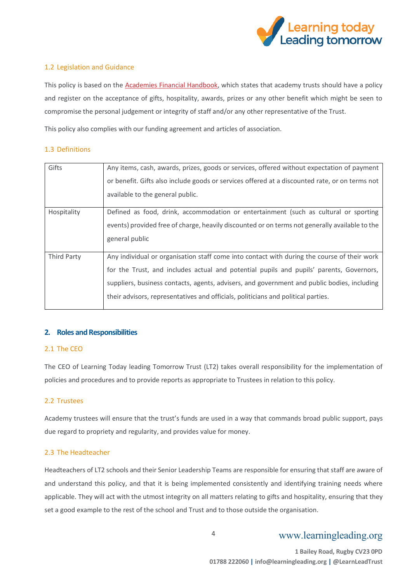

#### <span id="page-3-0"></span>1.2 Legislation and Guidance

This policy is based on the [Academies Financial Handbook,](https://www.gov.uk/government/publications/academies-financial-handbook) which states that academy trusts should have a policy and register on the acceptance of gifts, hospitality, awards, prizes or any other benefit which might be seen to compromise the personal judgement or integrity of staff and/or any other representative of the Trust.

This policy also complies with our funding agreement and articles of association.

#### <span id="page-3-1"></span>1.3 Definitions

| Gifts              | Any items, cash, awards, prizes, goods or services, offered without expectation of payment<br>or benefit. Gifts also include goods or services offered at a discounted rate, or on terms not<br>available to the general public.                                                                                                                                           |
|--------------------|----------------------------------------------------------------------------------------------------------------------------------------------------------------------------------------------------------------------------------------------------------------------------------------------------------------------------------------------------------------------------|
| Hospitality        | Defined as food, drink, accommodation or entertainment (such as cultural or sporting<br>events) provided free of charge, heavily discounted or on terms not generally available to the<br>general public                                                                                                                                                                   |
| <b>Third Party</b> | Any individual or organisation staff come into contact with during the course of their work<br>for the Trust, and includes actual and potential pupils and pupils' parents, Governors,<br>suppliers, business contacts, agents, advisers, and government and public bodies, including<br>their advisors, representatives and officials, politicians and political parties. |

#### <span id="page-3-2"></span>**2. Roles and Responsibilities**

#### <span id="page-3-3"></span>2.1 The CEO

The CEO of Learning Today leading Tomorrow Trust (LT2) takes overall responsibility for the implementation of policies and procedures and to provide reports as appropriate to Trustees in relation to this policy.

#### <span id="page-3-4"></span>2.2 Trustees

Academy trustees will ensure that the trust's funds are used in a way that commands broad public support, pays due regard to propriety and regularity, and provides value for money.

#### <span id="page-3-5"></span>2.3 The Headteacher

Headteachers of LT2 schools and their Senior Leadership Teams are responsible for ensuring that staff are aware of and understand this policy, and that it is being implemented consistently and identifying training needs where applicable. They will act with the utmost integrity on all matters relating to gifts and hospitality, ensuring that they set a good example to the rest of the school and Trust and to those outside the organisation.

### www.learningleading.org

4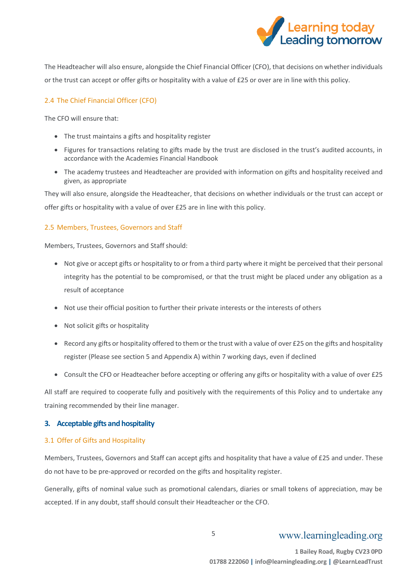

The Headteacher will also ensure, alongside the Chief Financial Officer (CFO), that decisions on whether individuals or the trust can accept or offer gifts or hospitality with a value of £25 or over are in line with this policy.

#### <span id="page-4-0"></span>2.4 The Chief Financial Officer (CFO)

The CFO will ensure that:

- The trust maintains a gifts and hospitality register
- Figures for transactions relating to gifts made by the trust are disclosed in the trust's audited accounts, in accordance with the Academies Financial Handbook
- The academy trustees and Headteacher are provided with information on gifts and hospitality received and given, as appropriate

They will also ensure, alongside the Headteacher, that decisions on whether individuals or the trust can accept or offer gifts or hospitality with a value of over £25 are in line with this policy.

#### <span id="page-4-1"></span>2.5 Members, Trustees, Governors and Staff

Members, Trustees, Governors and Staff should:

- Not give or accept gifts or hospitality to or from a third party where it might be perceived that their personal integrity has the potential to be compromised, or that the trust might be placed under any obligation as a result of acceptance
- Not use their official position to further their private interests or the interests of others
- Not solicit gifts or hospitality
- Record any gifts or hospitality offered to them or the trust with a value of over £25 on the gifts and hospitality register (Please see section 5 and Appendix A) within 7 working days, even if declined
- Consult the CFO or Headteacher before accepting or offering any gifts or hospitality with a value of over £25

All staff are required to cooperate fully and positively with the requirements of this Policy and to undertake any training recommended by their line manager.

#### <span id="page-4-2"></span>**3. Acceptable gifts and hospitality**

#### <span id="page-4-3"></span>3.1 Offer of Gifts and Hospitality

Members, Trustees, Governors and Staff can accept gifts and hospitality that have a value of £25 and under. These do not have to be pre-approved or recorded on the gifts and hospitality register.

Generally, gifts of nominal value such as promotional calendars, diaries or small tokens of appreciation, may be accepted. If in any doubt, staff should consult their Headteacher or the CFO.

# www.learningleading.org

5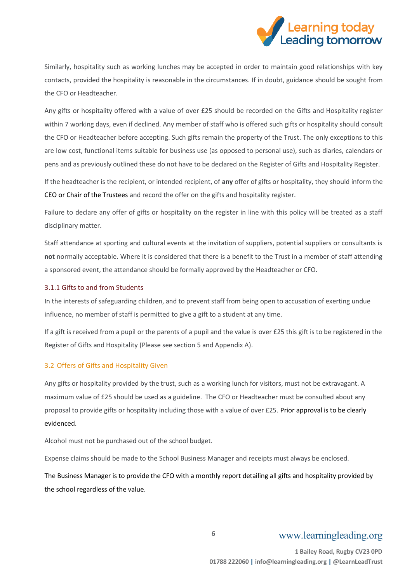

Similarly, hospitality such as working lunches may be accepted in order to maintain good relationships with key contacts, provided the hospitality is reasonable in the circumstances. If in doubt, guidance should be sought from the CFO or Headteacher.

Any gifts or hospitality offered with a value of over £25 should be recorded on the Gifts and Hospitality register within 7 working days, even if declined. Any member of staff who is offered such gifts or hospitality should consult the CFO or Headteacher before accepting. Such gifts remain the property of the Trust. The only exceptions to this are low cost, functional items suitable for business use (as opposed to personal use), such as diaries, calendars or pens and as previously outlined these do not have to be declared on the Register of Gifts and Hospitality Register.

If the headteacher is the recipient, or intended recipient, of **any** offer of gifts or hospitality, they should inform the CEO or Chair of the Trustees and record the offer on the gifts and hospitality register.

Failure to declare any offer of gifts or hospitality on the register in line with this policy will be treated as a staff disciplinary matter.

Staff attendance at sporting and cultural events at the invitation of suppliers, potential suppliers or consultants is **not** normally acceptable. Where it is considered that there is a benefit to the Trust in a member of staff attending a sponsored event, the attendance should be formally approved by the Headteacher or CFO.

#### <span id="page-5-0"></span>3.1.1 Gifts to and from Students

In the interests of safeguarding children, and to prevent staff from being open to accusation of exerting undue influence, no member of staff is permitted to give a gift to a student at any time.

If a gift is received from a pupil or the parents of a pupil and the value is over £25 this gift is to be registered in the Register of Gifts and Hospitality (Please see section 5 and Appendix A).

#### <span id="page-5-1"></span>3.2 Offers of Gifts and Hospitality Given

Any gifts or hospitality provided by the trust, such as a working lunch for visitors, must not be extravagant. A maximum value of £25 should be used as a guideline. The CFO or Headteacher must be consulted about any proposal to provide gifts or hospitality including those with a value of over £25. Prior approval is to be clearly evidenced.

Alcohol must not be purchased out of the school budget.

Expense claims should be made to the School Business Manager and receipts must always be enclosed.

The Business Manager is to provide the CFO with a monthly report detailing all gifts and hospitality provided by the school regardless of the value.

6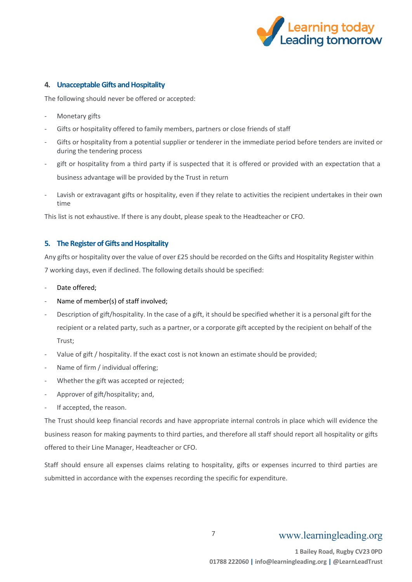

#### <span id="page-6-0"></span>**4. Unacceptable Gifts and Hospitality**

The following should never be offered or accepted:

- Monetary gifts
- Gifts or hospitality offered to family members, partners or close friends of staff
- Gifts or hospitality from a potential supplier or tenderer in the immediate period before tenders are invited or during the tendering process
- gift or hospitality from a third party if is suspected that it is offered or provided with an expectation that a business advantage will be provided by the Trust in return
- Lavish or extravagant gifts or hospitality, even if they relate to activities the recipient undertakes in their own time

This list is not exhaustive. If there is any doubt, please speak to the Headteacher or CFO.

#### <span id="page-6-1"></span>**5. The Register of Gifts and Hospitality**

Any gifts or hospitality over the value of over £25 should be recorded on the Gifts and Hospitality Register within 7 working days, even if declined. The following details should be specified:

- Date offered;
- Name of member(s) of staff involved;
- Description of gift/hospitality. In the case of a gift, it should be specified whether it is a personal gift for the recipient or a related party, such as a partner, or a corporate gift accepted by the recipient on behalf of the Trust;
- Value of gift / hospitality. If the exact cost is not known an estimate should be provided;
- Name of firm / individual offering;
- Whether the gift was accepted or rejected;
- Approver of gift/hospitality; and,
- If accepted, the reason.

The Trust should keep financial records and have appropriate internal controls in place which will evidence the business reason for making payments to third parties, and therefore all staff should report all hospitality or gifts offered to their Line Manager, Headteacher or CFO.

Staff should ensure all expenses claims relating to hospitality, gifts or expenses incurred to third parties are submitted in accordance with the expenses recording the specific for expenditure.

7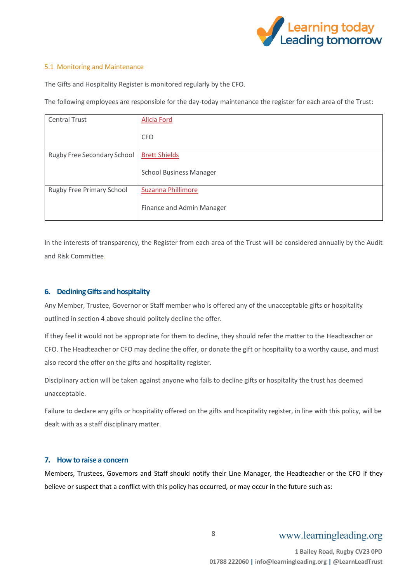

#### <span id="page-7-0"></span>5.1 Monitoring and Maintenance

The Gifts and Hospitality Register is monitored regularly by the CFO.

The following employees are responsible for the day-today maintenance the register for each area of the Trust:

| <b>Central Trust</b>        | Alicia Ford                    |
|-----------------------------|--------------------------------|
|                             | <b>CFO</b>                     |
| Rugby Free Secondary School | <b>Brett Shields</b>           |
|                             | <b>School Business Manager</b> |
| Rugby Free Primary School   | Suzanna Phillimore             |
|                             | Finance and Admin Manager      |

In the interests of transparency, the Register from each area of the Trust will be considered annually by the Audit and Risk Committee.

#### <span id="page-7-1"></span>**6. Declining Gifts and hospitality**

Any Member, Trustee, Governor or Staff member who is offered any of the unacceptable gifts or hospitality outlined in section 4 above should politely decline the offer.

If they feel it would not be appropriate for them to decline, they should refer the matter to the Headteacher or CFO. The Headteacher or CFO may decline the offer, or donate the gift or hospitality to a worthy cause, and must also record the offer on the gifts and hospitality register.

Disciplinary action will be taken against anyone who fails to decline gifts or hospitality the trust has deemed unacceptable.

Failure to declare any gifts or hospitality offered on the gifts and hospitality register, in line with this policy, will be dealt with as a staff disciplinary matter.

#### <span id="page-7-2"></span>**7. How to raise a concern**

Members, Trustees, Governors and Staff should notify their Line Manager, the Headteacher or the CFO if they believe or suspect that a conflict with this policy has occurred, or may occur in the future such as:

8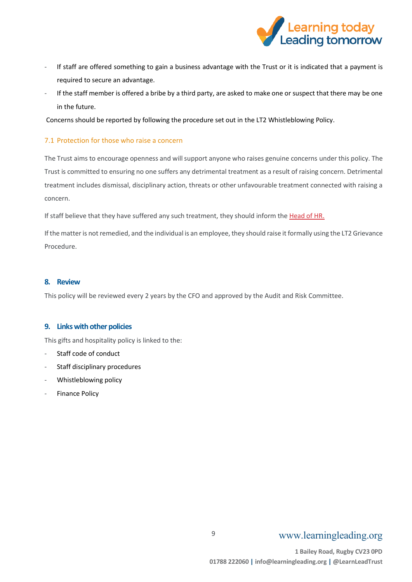

- If staff are offered something to gain a business advantage with the Trust or it is indicated that a payment is required to secure an advantage.
- If the staff member is offered a bribe by a third party, are asked to make one or suspect that there may be one in the future.

Concerns should be reported by following the procedure set out in the LT2 Whistleblowing Policy.

#### <span id="page-8-0"></span>7.1 Protection for those who raise a concern

The Trust aims to encourage openness and will support anyone who raises genuine concerns under this policy. The Trust is committed to ensuring no one suffers any detrimental treatment as a result of raising concern. Detrimental treatment includes dismissal, disciplinary action, threats or other unfavourable treatment connected with raising a concern.

If staff believe that they have suffered any such treatment, they should inform the [Head of HR.](mailto:tillie.newnham@learningleading.org)

If the matter is not remedied, and the individual is an employee, they should raise it formally using the LT2 Grievance Procedure.

#### <span id="page-8-1"></span>**8. Review**

This policy will be reviewed every 2 years by the CFO and approved by the Audit and Risk Committee.

#### <span id="page-8-2"></span>**9. Links with other policies**

This gifts and hospitality policy is linked to the:

- Staff code of conduct
- Staff disciplinary procedures
- Whistleblowing policy
- Finance Policy